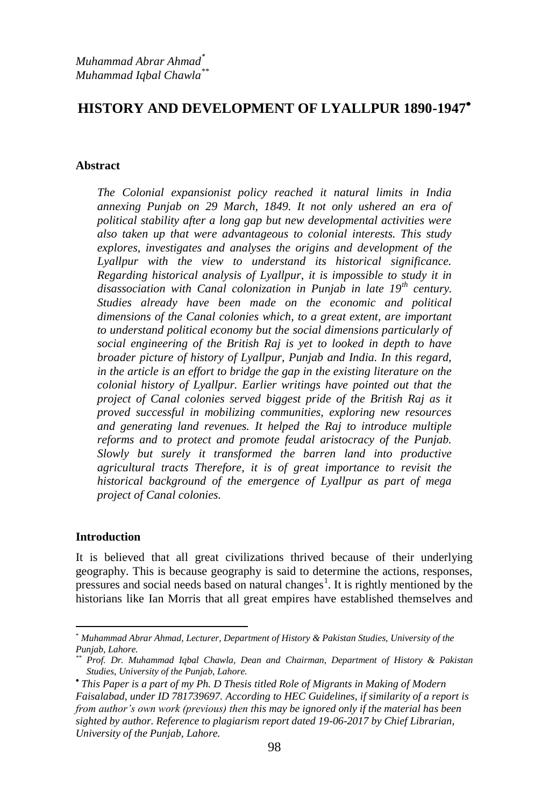# **HISTORY AND DEVELOPMENT OF LYALLPUR 1890-1947**

#### **Abstract**

*The Colonial expansionist policy reached it natural limits in India annexing Punjab on 29 March, 1849. It not only ushered an era of political stability after a long gap but new developmental activities were also taken up that were advantageous to colonial interests. This study explores, investigates and analyses the origins and development of the Lyallpur with the view to understand its historical significance. Regarding historical analysis of Lyallpur, it is impossible to study it in disassociation with Canal colonization in Punjab in late 19th century. Studies already have been made on the economic and political dimensions of the Canal colonies which, to a great extent, are important to understand political economy but the social dimensions particularly of social engineering of the British Raj is yet to looked in depth to have broader picture of history of Lyallpur, Punjab and India. In this regard, in the article is an effort to bridge the gap in the existing literature on the colonial history of Lyallpur. Earlier writings have pointed out that the project of Canal colonies served biggest pride of the British Raj as it proved successful in mobilizing communities, exploring new resources and generating land revenues. It helped the Raj to introduce multiple reforms and to protect and promote feudal aristocracy of the Punjab. Slowly but surely it transformed the barren land into productive agricultural tracts Therefore, it is of great importance to revisit the historical background of the emergence of Lyallpur as part of mega project of Canal colonies.* 

### **Introduction**

**.** 

It is believed that all great civilizations thrived because of their underlying geography. This is because geography is said to determine the actions, responses, pressures and social needs based on natural changes<sup>1</sup>. It is rightly mentioned by the historians like Ian Morris that all great empires have established themselves and

<sup>\*</sup> *Muhammad Abrar Ahmad, Lecturer, Department of History & Pakistan Studies, University of the Punjab, Lahore.*

*<sup>\*\*</sup> Prof. Dr. Muhammad Iqbal Chawla, Dean and Chairman, Department of History & Pakistan Studies, University of the Punjab, Lahore.*

*This Paper is a part of my Ph. D Thesis titled Role of Migrants in Making of Modern Faisalabad, under ID 781739697. According to HEC Guidelines, if similarity of a report is from author's own work (previous) then this may be ignored only if the material has been sighted by author. Reference to plagiarism report dated 19-06-2017 by Chief Librarian, University of the Punjab, Lahore.*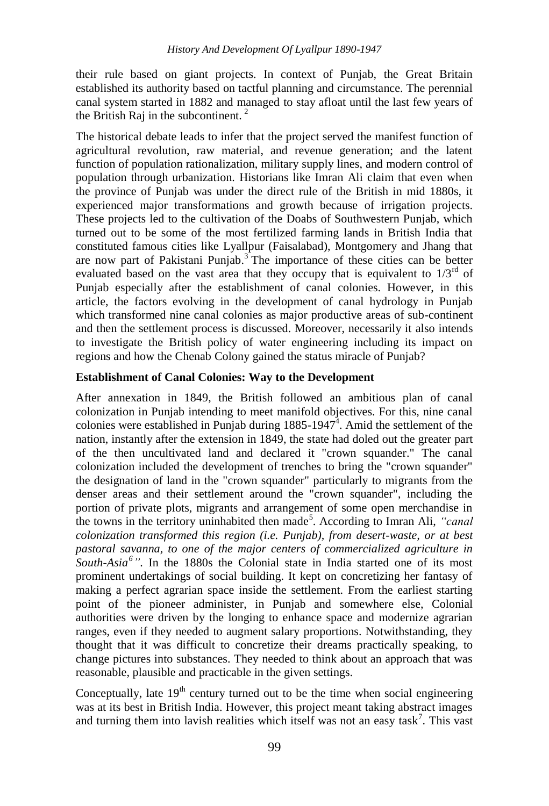their rule based on giant projects. In context of Punjab, the Great Britain established its authority based on tactful planning and circumstance. The perennial canal system started in 1882 and managed to stay afloat until the last few years of the British Raj in the subcontinent.  $2^2$ 

The historical debate leads to infer that the project served the manifest function of agricultural revolution, raw material, and revenue generation; and the latent function of population rationalization, military supply lines, and modern control of population through urbanization. Historians like Imran Ali claim that even when the province of Punjab was under the direct rule of the British in mid 1880s, it experienced major transformations and growth because of irrigation projects. These projects led to the cultivation of the Doabs of Southwestern Punjab, which turned out to be some of the most fertilized farming lands in British India that constituted famous cities like Lyallpur (Faisalabad), Montgomery and Jhang that are now part of Pakistani Punjab.<sup>3</sup> The importance of these cities can be better evaluated based on the vast area that they occupy that is equivalent to  $1/3<sup>rd</sup>$  of Punjab especially after the establishment of canal colonies. However, in this article, the factors evolving in the development of canal hydrology in Punjab which transformed nine canal colonies as major productive areas of sub-continent and then the settlement process is discussed. Moreover, necessarily it also intends to investigate the British policy of water engineering including its impact on regions and how the Chenab Colony gained the status miracle of Punjab?

### **Establishment of Canal Colonies: Way to the Development**

After annexation in 1849, the British followed an ambitious plan of canal colonization in Punjab intending to meet manifold objectives. For this, nine canal colonies were established in Punjab during  $1885-1947^4$ . Amid the settlement of the nation, instantly after the extension in 1849, the state had doled out the greater part of the then uncultivated land and declared it "crown squander." The canal colonization included the development of trenches to bring the "crown squander" the designation of land in the "crown squander" particularly to migrants from the denser areas and their settlement around the "crown squander", including the portion of private plots, migrants and arrangement of some open merchandise in the towns in the territory uninhabited then made<sup>5</sup>. According to Imran Ali, "canal *colonization transformed this region (i.e. Punjab), from desert-waste, or at best pastoral savanna, to one of the major centers of commercialized agriculture in South-Asia<sup>6</sup> "*. In the 1880s the Colonial state in India started one of its most prominent undertakings of social building. It kept on concretizing her fantasy of making a perfect agrarian space inside the settlement. From the earliest starting point of the pioneer administer, in Punjab and somewhere else, Colonial authorities were driven by the longing to enhance space and modernize agrarian ranges, even if they needed to augment salary proportions. Notwithstanding, they thought that it was difficult to concretize their dreams practically speaking, to change pictures into substances. They needed to think about an approach that was reasonable, plausible and practicable in the given settings.

Conceptually, late  $19<sup>th</sup>$  century turned out to be the time when social engineering was at its best in British India. However, this project meant taking abstract images and turning them into lavish realities which itself was not an easy task<sup>7</sup>. This vast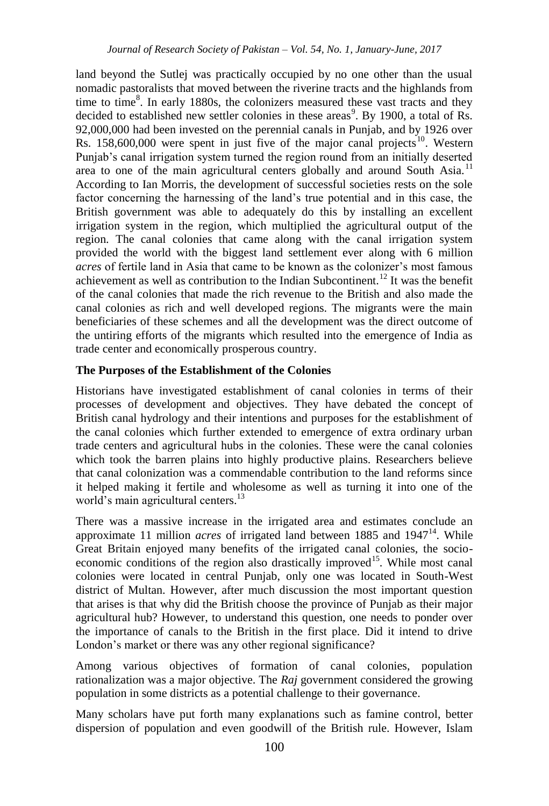land beyond the Sutlej was practically occupied by no one other than the usual nomadic pastoralists that moved between the riverine tracts and the highlands from time to time $8$ . In early 1880s, the colonizers measured these vast tracts and they decided to established new settler colonies in these areas<sup>9</sup>. By 1900, a total of Rs. 92,000,000 had been invested on the perennial canals in Punjab, and by 1926 over Rs.  $158,600,000$  were spent in just five of the major canal projects<sup>10</sup>. Western Punjab"s canal irrigation system turned the region round from an initially deserted area to one of the main agricultural centers globally and around South Asia.<sup>11</sup> According to Ian Morris, the development of successful societies rests on the sole factor concerning the harnessing of the land"s true potential and in this case, the British government was able to adequately do this by installing an excellent irrigation system in the region, which multiplied the agricultural output of the region. The canal colonies that came along with the canal irrigation system provided the world with the biggest land settlement ever along with 6 million *acres* of fertile land in Asia that came to be known as the colonizer"s most famous achievement as well as contribution to the Indian Subcontinent.<sup>12</sup> It was the benefit of the canal colonies that made the rich revenue to the British and also made the canal colonies as rich and well developed regions. The migrants were the main beneficiaries of these schemes and all the development was the direct outcome of the untiring efforts of the migrants which resulted into the emergence of India as trade center and economically prosperous country.

### **The Purposes of the Establishment of the Colonies**

Historians have investigated establishment of canal colonies in terms of their processes of development and objectives. They have debated the concept of British canal hydrology and their intentions and purposes for the establishment of the canal colonies which further extended to emergence of extra ordinary urban trade centers and agricultural hubs in the colonies. These were the canal colonies which took the barren plains into highly productive plains. Researchers believe that canal colonization was a commendable contribution to the land reforms since it helped making it fertile and wholesome as well as turning it into one of the world's main agricultural centers.<sup>13</sup>

There was a massive increase in the irrigated area and estimates conclude an approximate 11 million *acres* of irrigated land between 1885 and 1947<sup>14</sup>. While Great Britain enjoyed many benefits of the irrigated canal colonies, the socioeconomic conditions of the region also drastically improved<sup>15</sup>. While most canal colonies were located in central Punjab, only one was located in South-West district of Multan. However, after much discussion the most important question that arises is that why did the British choose the province of Punjab as their major agricultural hub? However, to understand this question, one needs to ponder over the importance of canals to the British in the first place. Did it intend to drive London's market or there was any other regional significance?

Among various objectives of formation of canal colonies, population rationalization was a major objective. The *Raj* government considered the growing population in some districts as a potential challenge to their governance.

Many scholars have put forth many explanations such as famine control, better dispersion of population and even goodwill of the British rule. However, Islam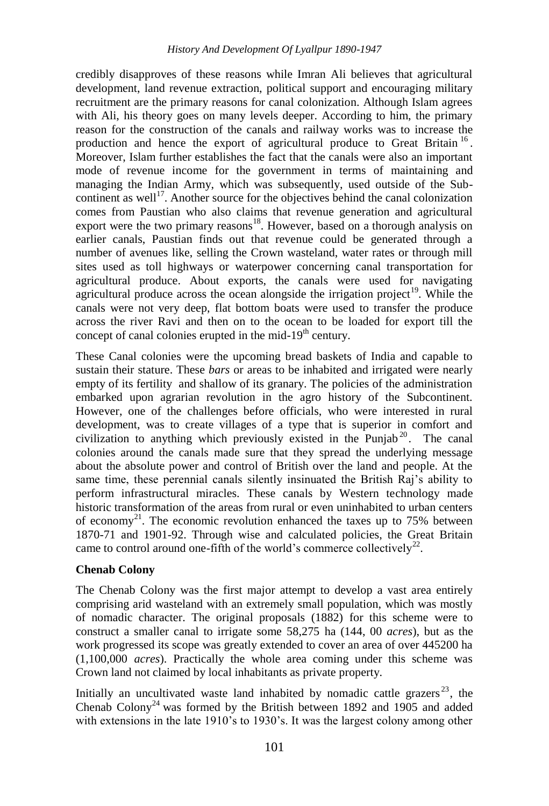credibly disapproves of these reasons while Imran Ali believes that agricultural development, land revenue extraction, political support and encouraging military recruitment are the primary reasons for canal colonization. Although Islam agrees with Ali, his theory goes on many levels deeper. According to him, the primary reason for the construction of the canals and railway works was to increase the production and hence the export of agricultural produce to Great Britain<sup>16</sup>. Moreover, Islam further establishes the fact that the canals were also an important mode of revenue income for the government in terms of maintaining and managing the Indian Army, which was subsequently, used outside of the Subcontinent as well<sup>17</sup>. Another source for the objectives behind the canal colonization comes from Paustian who also claims that revenue generation and agricultural export were the two primary reasons<sup>18</sup>. However, based on a thorough analysis on earlier canals, Paustian finds out that revenue could be generated through a number of avenues like, selling the Crown wasteland, water rates or through mill sites used as toll highways or waterpower concerning canal transportation for agricultural produce. About exports, the canals were used for navigating agricultural produce across the ocean alongside the irrigation project<sup>19</sup>. While the canals were not very deep, flat bottom boats were used to transfer the produce across the river Ravi and then on to the ocean to be loaded for export till the concept of canal colonies erupted in the mid- $19<sup>th</sup>$  century.

These Canal colonies were the upcoming bread baskets of India and capable to sustain their stature. These *bars* or areas to be inhabited and irrigated were nearly empty of its fertility and shallow of its granary. The policies of the administration embarked upon agrarian revolution in the agro history of the Subcontinent. However, one of the challenges before officials, who were interested in rural development, was to create villages of a type that is superior in comfort and civilization to anything which previously existed in the Punjab<sup>20</sup>. The canal colonies around the canals made sure that they spread the underlying message about the absolute power and control of British over the land and people. At the same time, these perennial canals silently insinuated the British Raj's ability to perform infrastructural miracles. These canals by Western technology made historic transformation of the areas from rural or even uninhabited to urban centers of economy<sup>21</sup>. The economic revolution enhanced the taxes up to  $75\%$  between 1870-71 and 1901-92. Through wise and calculated policies, the Great Britain came to control around one-fifth of the world's commerce collectively<sup>22</sup>.

# **Chenab Colony**

The Chenab Colony was the first major attempt to develop a vast area entirely comprising arid wasteland with an extremely small population, which was mostly of nomadic character. The original proposals (1882) for this scheme were to construct a smaller canal to irrigate some 58,275 ha (144, 00 *acres*), but as the work progressed its scope was greatly extended to cover an area of over 445200 ha (1,100,000 *acres*). Practically the whole area coming under this scheme was Crown land not claimed by local inhabitants as private property.

Initially an uncultivated waste land inhabited by nomadic cattle grazers<sup>23</sup>, the Chenab  $\text{Colony}^{24}$  was formed by the British between 1892 and 1905 and added with extensions in the late 1910's to 1930's. It was the largest colony among other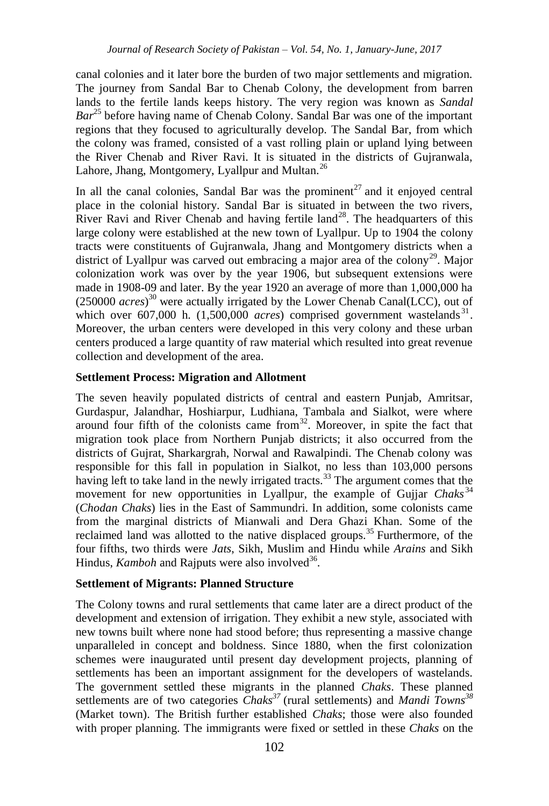canal colonies and it later bore the burden of two major settlements and migration. The journey from Sandal Bar to Chenab Colony, the development from barren lands to the fertile lands keeps history. The very region was known as *Sandal Bar*<sup>25</sup> before having name of Chenab Colony. Sandal Bar was one of the important regions that they focused to agriculturally develop. The Sandal Bar, from which the colony was framed, consisted of a vast rolling plain or upland lying between the River Chenab and River Ravi. It is situated in the districts of Gujranwala, Lahore, Jhang, Montgomery, Lyallpur and Multan.<sup>26</sup>

In all the canal colonies, Sandal Bar was the prominent<sup>27</sup> and it enjoyed central place in the colonial history. Sandal Bar is situated in between the two rivers, River Ravi and River Chenab and having fertile land<sup>28</sup>. The headquarters of this large colony were established at the new town of Lyallpur. Up to 1904 the colony tracts were constituents of Gujranwala, Jhang and Montgomery districts when a district of Lyallpur was carved out embracing a major area of the colony<sup>29</sup>. Major colonization work was over by the year 1906, but subsequent extensions were made in 1908-09 and later. By the year 1920 an average of more than 1,000,000 ha (250000 *acres*) <sup>30</sup> were actually irrigated by the Lower Chenab Canal(LCC), out of which over  $607,000$  h.  $(1,500,000$  *acres*) comprised government wastelands<sup>31</sup>. Moreover, the urban centers were developed in this very colony and these urban centers produced a large quantity of raw material which resulted into great revenue collection and development of the area.

### **Settlement Process: Migration and Allotment**

The seven heavily populated districts of central and eastern Punjab, Amritsar, Gurdaspur, Jalandhar, Hoshiarpur, Ludhiana, Tambala and Sialkot, were where around four fifth of the colonists came from $32$ . Moreover, in spite the fact that migration took place from Northern Punjab districts; it also occurred from the districts of Gujrat, Sharkargrah, Norwal and Rawalpindi. The Chenab colony was responsible for this fall in population in Sialkot, no less than 103,000 persons having left to take land in the newly irrigated tracts.<sup>33</sup> The argument comes that the movement for new opportunities in Lyallpur, the example of Gujjar *Chaks*<sup>34</sup> (*Chodan Chaks*) lies in the East of Sammundri. In addition, some colonists came from the marginal districts of Mianwali and Dera Ghazi Khan. Some of the reclaimed land was allotted to the native displaced groups.<sup>35</sup> Furthermore, of the four fifths, two thirds were *Jats*, Sikh, Muslim and Hindu while *Arains* and Sikh Hindus, *Kamboh* and Rajputs were also involved<sup>36</sup>.

### **Settlement of Migrants: Planned Structure**

The Colony towns and rural settlements that came later are a direct product of the development and extension of irrigation. They exhibit a new style, associated with new towns built where none had stood before; thus representing a massive change unparalleled in concept and boldness. Since 1880, when the first colonization schemes were inaugurated until present day development projects, planning of settlements has been an important assignment for the developers of wastelands. The government settled these migrants in the planned *Chaks*. These planned settlements are of two categories *Chaks<sup>37</sup>* (rural settlements) and *Mandi Towns<sup>38</sup>* (Market town). The British further established *Chaks*; those were also founded with proper planning. The immigrants were fixed or settled in these *Chaks* on the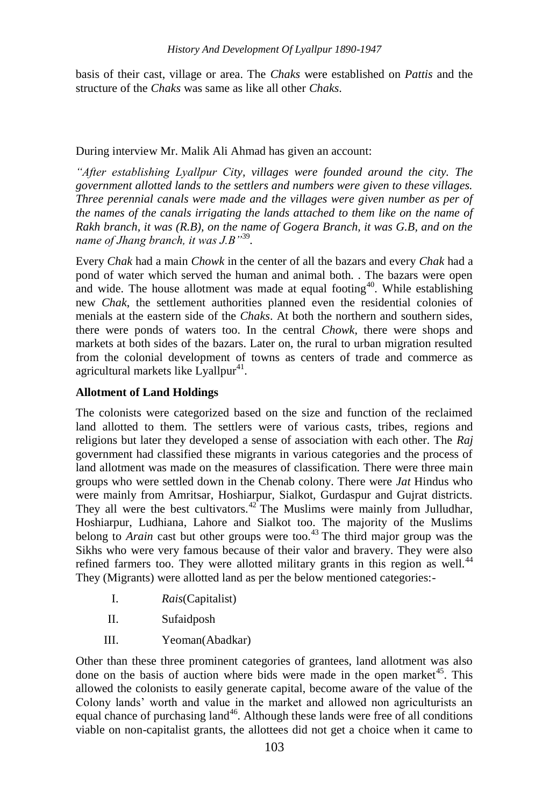basis of their cast, village or area. The *Chaks* were established on *Pattis* and the structure of the *Chaks* was same as like all other *Chaks*.

#### During interview Mr. Malik Ali Ahmad has given an account:

*"After establishing Lyallpur City, villages were founded around the city. The government allotted lands to the settlers and numbers were given to these villages. Three perennial canals were made and the villages were given number as per of the names of the canals irrigating the lands attached to them like on the name of Rakh branch, it was (R.B), on the name of Gogera Branch, it was G.B, and on the name of Jhang branch, it was J.B"*<sup>39</sup> *.*

Every *Chak* had a main *Chowk* in the center of all the bazars and every *Chak* had a pond of water which served the human and animal both. . The bazars were open and wide. The house allotment was made at equal footing<sup>40</sup>. While establishing new *Chak*, the settlement authorities planned even the residential colonies of menials at the eastern side of the *Chaks*. At both the northern and southern sides, there were ponds of waters too. In the central *Chowk*, there were shops and markets at both sides of the bazars. Later on, the rural to urban migration resulted from the colonial development of towns as centers of trade and commerce as agricultural markets like Lyallpur<sup>41</sup>.

### **Allotment of Land Holdings**

The colonists were categorized based on the size and function of the reclaimed land allotted to them. The settlers were of various casts, tribes, regions and religions but later they developed a sense of association with each other. The *Raj* government had classified these migrants in various categories and the process of land allotment was made on the measures of classification. There were three main groups who were settled down in the Chenab colony. There were *Jat* Hindus who were mainly from Amritsar, Hoshiarpur, Sialkot, Gurdaspur and Gujrat districts. They all were the best cultivators. $42^{\circ}$  The Muslims were mainly from Julludhar, Hoshiarpur, Ludhiana, Lahore and Sialkot too. The majority of the Muslims belong to *Arain* cast but other groups were too.<sup>43</sup> The third major group was the Sikhs who were very famous because of their valor and bravery. They were also refined farmers too. They were allotted military grants in this region as well. $44$ They (Migrants) were allotted land as per the below mentioned categories:-

I. *Rais*(Capitalist)

II. Sufaidposh

III. Yeoman(Abadkar)

Other than these three prominent categories of grantees, land allotment was also done on the basis of auction where bids were made in the open market<sup>45</sup>. This allowed the colonists to easily generate capital, become aware of the value of the Colony lands" worth and value in the market and allowed non agriculturists an equal chance of purchasing land<sup>46</sup>. Although these lands were free of all conditions viable on non-capitalist grants, the allottees did not get a choice when it came to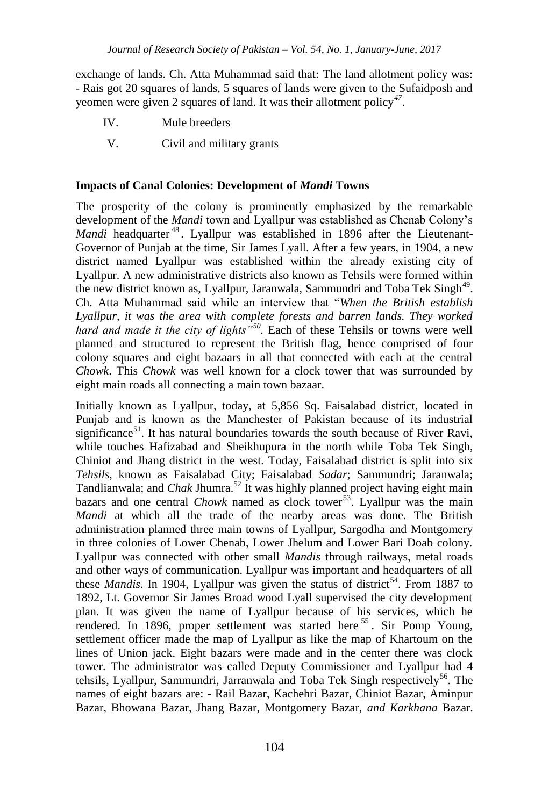exchange of lands. Ch. Atta Muhammad said that: The land allotment policy was: - Rais got 20 squares of lands, 5 squares of lands were given to the Sufaidposh and yeomen were given 2 squares of land. It was their allotment policy*<sup>47</sup>* .

- IV. Mule breeders
- V. Civil and military grants

# **Impacts of Canal Colonies: Development of** *Mandi* **Towns**

The prosperity of the colony is prominently emphasized by the remarkable development of the *Mandi* town and Lyallpur was established as Chenab Colony"s *Mandi* headquarter<sup>48</sup>. Lyallpur was established in 1896 after the Lieutenant-Governor of Punjab at the time, Sir James Lyall. After a few years, in 1904, a new district named Lyallpur was established within the already existing city of Lyallpur. A new administrative districts also known as Tehsils were formed within the new district known as, Lyallpur, Jaranwala, Sammundri and Toba Tek Singh<sup>49</sup>. Ch. Atta Muhammad said while an interview that "*When the British establish Lyallpur, it was the area with complete forests and barren lands. They worked hard and made it the city of lights"<sup>50</sup> .* Each of these Tehsils or towns were well planned and structured to represent the British flag, hence comprised of four colony squares and eight bazaars in all that connected with each at the central *Chowk*. This *Chowk* was well known for a clock tower that was surrounded by eight main roads all connecting a main town bazaar.

Initially known as Lyallpur, today, at 5,856 Sq. Faisalabad district, located in Punjab and is known as the Manchester of Pakistan because of its industrial significance<sup>51</sup>. It has natural boundaries towards the south because of River Ravi, while touches Hafizabad and Sheikhupura in the north while Toba Tek Singh, Chiniot and Jhang district in the west. Today, Faisalabad district is split into six *Tehsils,* known as Faisalabad City; Faisalabad *Sadar*; Sammundri; Jaranwala; Tandlianwala; and *Chak* Jhumra.<sup>52</sup> It was highly planned project having eight main bazars and one central *Chowk* named as clock tower<sup>53</sup>. Lyallpur was the main *Mandi* at which all the trade of the nearby areas was done. The British administration planned three main towns of Lyallpur, Sargodha and Montgomery in three colonies of Lower Chenab, Lower Jhelum and Lower Bari Doab colony. Lyallpur was connected with other small *Mandis* through railways, metal roads and other ways of communication. Lyallpur was important and headquarters of all these *Mandis*. In 1904, Lyallpur was given the status of district<sup>54</sup>. From 1887 to 1892, Lt. Governor Sir James Broad wood Lyall supervised the city development plan. It was given the name of Lyallpur because of his services, which he rendered. In 1896, proper settlement was started here <sup>55</sup>. Sir Pomp Young, settlement officer made the map of Lyallpur as like the map of Khartoum on the lines of Union jack. Eight bazars were made and in the center there was clock tower. The administrator was called Deputy Commissioner and Lyallpur had 4 tehsils, Lyallpur, Sammundri, Jarranwala and Toba Tek Singh respectively<sup>56</sup>. The names of eight bazars are: - Rail Bazar, Kachehri Bazar, Chiniot Bazar, Aminpur Bazar, Bhowana Bazar, Jhang Bazar, Montgomery Bazar, *and Karkhana* Bazar.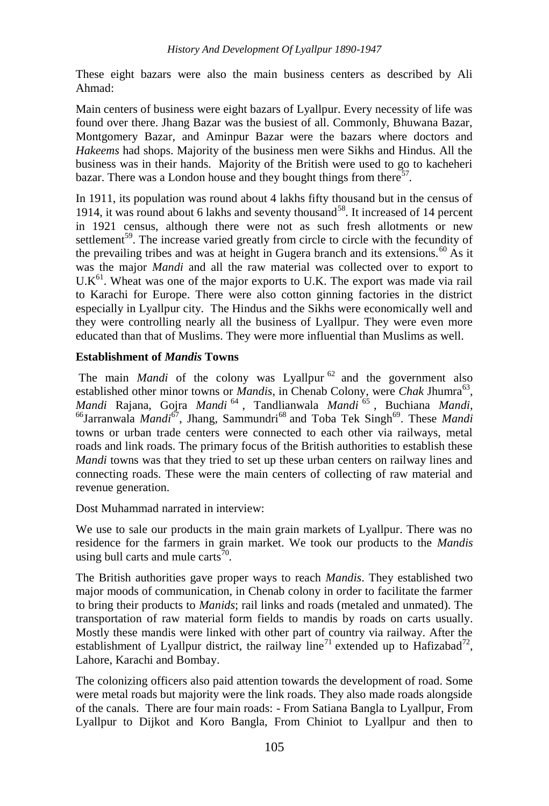These eight bazars were also the main business centers as described by Ali Ahmad:

Main centers of business were eight bazars of Lyallpur. Every necessity of life was found over there. Jhang Bazar was the busiest of all. Commonly, Bhuwana Bazar, Montgomery Bazar, and Aminpur Bazar were the bazars where doctors and *Hakeems* had shops. Majority of the business men were Sikhs and Hindus. All the business was in their hands. Majority of the British were used to go to kacheheri bazar. There was a London house and they bought things from there<sup>57</sup>.

In 1911, its population was round about 4 lakhs fifty thousand but in the census of 1914, it was round about 6 lakhs and seventy thousand<sup>58</sup>. It increased of 14 percent in 1921 census, although there were not as such fresh allotments or new settlement<sup>59</sup>. The increase varied greatly from circle to circle with the fecundity of the prevailing tribes and was at height in Gugera branch and its extensions. $^{60}$  As it was the major *Mandi* and all the raw material was collected over to export to  $U.K<sup>61</sup>$ . Wheat was one of the major exports to U.K. The export was made via rail to Karachi for Europe. There were also cotton ginning factories in the district especially in Lyallpur city. The Hindus and the Sikhs were economically well and they were controlling nearly all the business of Lyallpur. They were even more educated than that of Muslims. They were more influential than Muslims as well.

# **Establishment of** *Mandis* **Towns**

The main *Mandi* of the colony was Lyallpur<sup>62</sup> and the government also established other minor towns or *Mandis*, in Chenab Colony, were *Chak Jhumra*<sup>63</sup>, *Mandi* Rajana, Gojra *Mandi* <sup>64</sup> , Tandlianwala *Mandi* <sup>65</sup> , Buchiana *Mandi*, <sup>66</sup>Jarranwala *Mandi*<sup>67</sup>, Jhang, Sammundri<sup>68</sup> and Toba Tek Singh<sup>69</sup>. These *Mandi* towns or urban trade centers were connected to each other via railways, metal roads and link roads. The primary focus of the British authorities to establish these *Mandi* towns was that they tried to set up these urban centers on railway lines and connecting roads. These were the main centers of collecting of raw material and revenue generation.

Dost Muhammad narrated in interview:

We use to sale our products in the main grain markets of Lyallpur. There was no residence for the farmers in grain market. We took our products to the *Mandis* using bull carts and mule carts<sup>70</sup>.

The British authorities gave proper ways to reach *Mandis*. They established two major moods of communication, in Chenab colony in order to facilitate the farmer to bring their products to *Manids*; rail links and roads (metaled and unmated). The transportation of raw material form fields to mandis by roads on carts usually. Mostly these mandis were linked with other part of country via railway. After the establishment of Lyallpur district, the railway line<sup>71</sup> extended up to Hafizabad<sup>72</sup>, Lahore, Karachi and Bombay.

The colonizing officers also paid attention towards the development of road. Some were metal roads but majority were the link roads. They also made roads alongside of the canals. There are four main roads: - From Satiana Bangla to Lyallpur, From Lyallpur to Dijkot and Koro Bangla, From Chiniot to Lyallpur and then to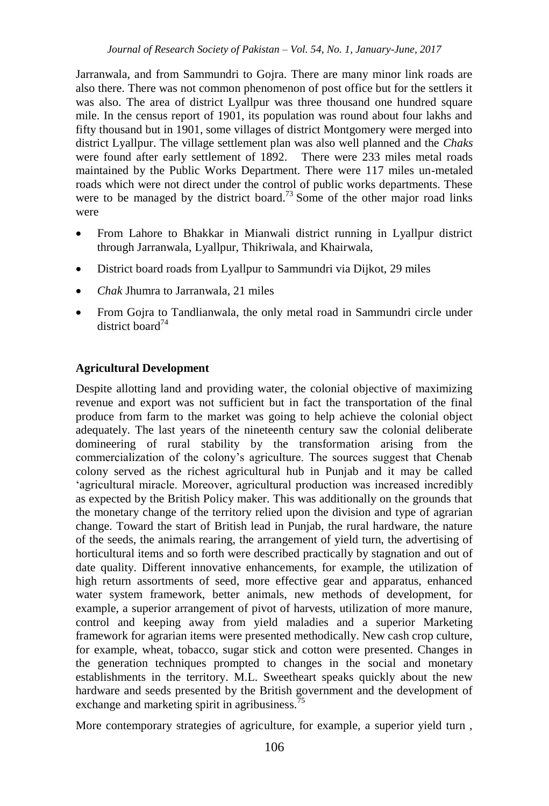Jarranwala, and from Sammundri to Gojra. There are many minor link roads are also there. There was not common phenomenon of post office but for the settlers it was also. The area of district Lyallpur was three thousand one hundred square mile. In the census report of 1901, its population was round about four lakhs and fifty thousand but in 1901, some villages of district Montgomery were merged into district Lyallpur. The village settlement plan was also well planned and the *Chaks* were found after early settlement of 1892. There were 233 miles metal roads maintained by the Public Works Department. There were 117 miles un-metaled roads which were not direct under the control of public works departments. These were to be managed by the district board.<sup>73</sup> Some of the other major road links were

- From Lahore to Bhakkar in Mianwali district running in Lyallpur district through Jarranwala, Lyallpur, Thikriwala, and Khairwala,
- District board roads from Lyallpur to Sammundri via Dijkot, 29 miles
- *Chak* Jhumra to Jarranwala, 21 miles
- From Gojra to Tandlianwala, the only metal road in Sammundri circle under district board<sup>74</sup>

# **Agricultural Development**

Despite allotting land and providing water, the colonial objective of maximizing revenue and export was not sufficient but in fact the transportation of the final produce from farm to the market was going to help achieve the colonial object adequately. The last years of the nineteenth century saw the colonial deliberate domineering of rural stability by the transformation arising from the commercialization of the colony"s agriculture. The sources suggest that Chenab colony served as the richest agricultural hub in Punjab and it may be called 'agricultural miracle. Moreover, agricultural production was increased incredibly as expected by the British Policy maker. This was additionally on the grounds that the monetary change of the territory relied upon the division and type of agrarian change. Toward the start of British lead in Punjab, the rural hardware, the nature of the seeds, the animals rearing, the arrangement of yield turn, the advertising of horticultural items and so forth were described practically by stagnation and out of date quality. Different innovative enhancements, for example, the utilization of high return assortments of seed, more effective gear and apparatus, enhanced water system framework, better animals, new methods of development, for example, a superior arrangement of pivot of harvests, utilization of more manure, control and keeping away from yield maladies and a superior Marketing framework for agrarian items were presented methodically. New cash crop culture, for example, wheat, tobacco, sugar stick and cotton were presented. Changes in the generation techniques prompted to changes in the social and monetary establishments in the territory. M.L. Sweetheart speaks quickly about the new hardware and seeds presented by the British government and the development of exchange and marketing spirit in agribusiness.<sup>75</sup>

More contemporary strategies of agriculture, for example, a superior yield turn ,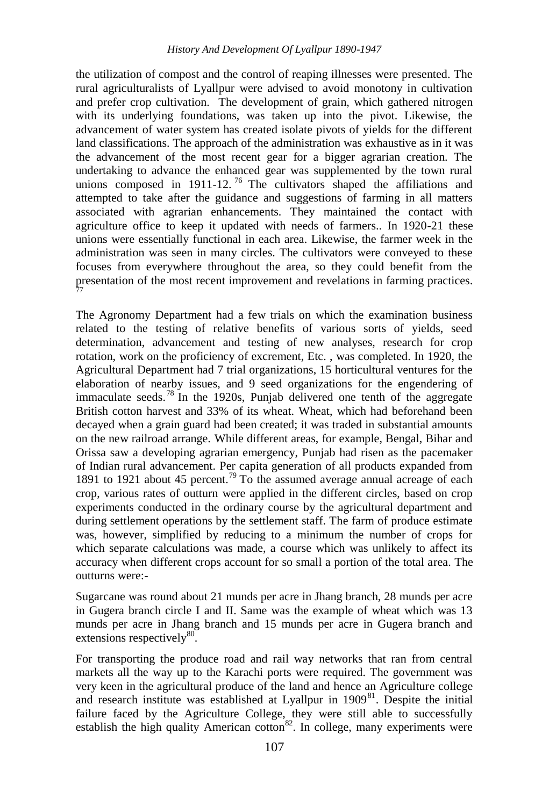the utilization of compost and the control of reaping illnesses were presented. The rural agriculturalists of Lyallpur were advised to avoid monotony in cultivation and prefer crop cultivation. The development of grain, which gathered nitrogen with its underlying foundations, was taken up into the pivot. Likewise, the advancement of water system has created isolate pivots of yields for the different land classifications. The approach of the administration was exhaustive as in it was the advancement of the most recent gear for a bigger agrarian creation. The undertaking to advance the enhanced gear was supplemented by the town rural unions composed in 1911-12.<sup>76</sup> The cultivators shaped the affiliations and attempted to take after the guidance and suggestions of farming in all matters associated with agrarian enhancements. They maintained the contact with agriculture office to keep it updated with needs of farmers.. In 1920-21 these unions were essentially functional in each area. Likewise, the farmer week in the administration was seen in many circles. The cultivators were conveyed to these focuses from everywhere throughout the area, so they could benefit from the presentation of the most recent improvement and revelations in farming practices. 77

The Agronomy Department had a few trials on which the examination business related to the testing of relative benefits of various sorts of yields, seed determination, advancement and testing of new analyses, research for crop rotation, work on the proficiency of excrement, Etc. , was completed. In 1920, the Agricultural Department had 7 trial organizations, 15 horticultural ventures for the elaboration of nearby issues, and 9 seed organizations for the engendering of immaculate seeds.<sup>78</sup> In the 1920s, Punjab delivered one tenth of the aggregate British cotton harvest and 33% of its wheat. Wheat, which had beforehand been decayed when a grain guard had been created; it was traded in substantial amounts on the new railroad arrange. While different areas, for example, Bengal, Bihar and Orissa saw a developing agrarian emergency, Punjab had risen as the pacemaker of Indian rural advancement. Per capita generation of all products expanded from 1891 to 1921 about 45 percent.<sup>79</sup> To the assumed average annual acreage of each crop, various rates of outturn were applied in the different circles, based on crop experiments conducted in the ordinary course by the agricultural department and during settlement operations by the settlement staff. The farm of produce estimate was, however, simplified by reducing to a minimum the number of crops for which separate calculations was made, a course which was unlikely to affect its accuracy when different crops account for so small a portion of the total area. The outturns were:-

Sugarcane was round about 21 munds per acre in Jhang branch, 28 munds per acre in Gugera branch circle I and II. Same was the example of wheat which was 13 munds per acre in Jhang branch and 15 munds per acre in Gugera branch and extensions respectively<sup>80</sup>.

For transporting the produce road and rail way networks that ran from central markets all the way up to the Karachi ports were required. The government was very keen in the agricultural produce of the land and hence an Agriculture college and research institute was established at Lyallpur in  $1909<sup>81</sup>$ . Despite the initial failure faced by the Agriculture College, they were still able to successfully establish the high quality American cotton<sup>82</sup>. In college, many experiments were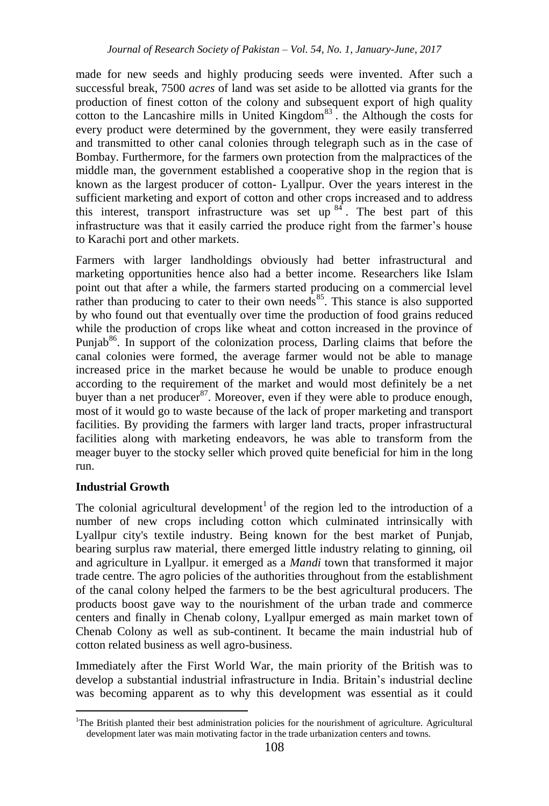made for new seeds and highly producing seeds were invented. After such a successful break, 7500 *acres* of land was set aside to be allotted via grants for the production of finest cotton of the colony and subsequent export of high quality cotton to the Lancashire mills in United Kingdom $^{83}$ . the Although the costs for every product were determined by the government, they were easily transferred and transmitted to other canal colonies through telegraph such as in the case of Bombay. Furthermore, for the farmers own protection from the malpractices of the middle man, the government established a cooperative shop in the region that is known as the largest producer of cotton- Lyallpur. Over the years interest in the sufficient marketing and export of cotton and other crops increased and to address this interest, transport infrastructure was set up  $84$ . The best part of this infrastructure was that it easily carried the produce right from the farmer"s house to Karachi port and other markets.

Farmers with larger landholdings obviously had better infrastructural and marketing opportunities hence also had a better income. Researchers like Islam point out that after a while, the farmers started producing on a commercial level rather than producing to cater to their own needs<sup>85</sup>. This stance is also supported by who found out that eventually over time the production of food grains reduced while the production of crops like wheat and cotton increased in the province of Punjab<sup>86</sup>. In support of the colonization process, Darling claims that before the canal colonies were formed, the average farmer would not be able to manage increased price in the market because he would be unable to produce enough according to the requirement of the market and would most definitely be a net buyer than a net producer<sup>87</sup>. Moreover, even if they were able to produce enough, most of it would go to waste because of the lack of proper marketing and transport facilities. By providing the farmers with larger land tracts, proper infrastructural facilities along with marketing endeavors, he was able to transform from the meager buyer to the stocky seller which proved quite beneficial for him in the long run.

# **Industrial Growth**

1

The colonial agricultural development<sup>1</sup> of the region led to the introduction of a number of new crops including cotton which culminated intrinsically with Lyallpur city's textile industry. Being known for the best market of Punjab, bearing surplus raw material, there emerged little industry relating to ginning, oil and agriculture in Lyallpur. it emerged as a *Mandi* town that transformed it major trade centre. The agro policies of the authorities throughout from the establishment of the canal colony helped the farmers to be the best agricultural producers. The products boost gave way to the nourishment of the urban trade and commerce centers and finally in Chenab colony, Lyallpur emerged as main market town of Chenab Colony as well as sub-continent. It became the main industrial hub of cotton related business as well agro-business.

Immediately after the First World War, the main priority of the British was to develop a substantial industrial infrastructure in India. Britain"s industrial decline was becoming apparent as to why this development was essential as it could

<sup>&</sup>lt;sup>1</sup>The British planted their best administration policies for the nourishment of agriculture. Agricultural development later was main motivating factor in the trade urbanization centers and towns.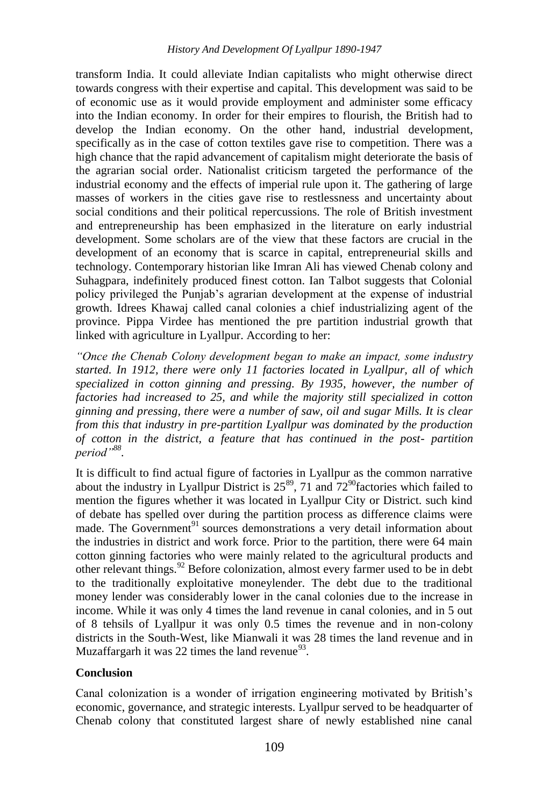transform India. It could alleviate Indian capitalists who might otherwise direct towards congress with their expertise and capital. This development was said to be of economic use as it would provide employment and administer some efficacy into the Indian economy. In order for their empires to flourish, the British had to develop the Indian economy. On the other hand, industrial development, specifically as in the case of cotton textiles gave rise to competition. There was a high chance that the rapid advancement of capitalism might deteriorate the basis of the agrarian social order. Nationalist criticism targeted the performance of the industrial economy and the effects of imperial rule upon it. The gathering of large masses of workers in the cities gave rise to restlessness and uncertainty about social conditions and their political repercussions. The role of British investment and entrepreneurship has been emphasized in the literature on early industrial development. Some scholars are of the view that these factors are crucial in the development of an economy that is scarce in capital, entrepreneurial skills and technology. Contemporary historian like Imran Ali has viewed Chenab colony and Suhagpara, indefinitely produced finest cotton. Ian Talbot suggests that Colonial policy privileged the Punjab"s agrarian development at the expense of industrial growth. Idrees Khawaj called canal colonies a chief industrializing agent of the province. Pippa Virdee has mentioned the pre partition industrial growth that linked with agriculture in Lyallpur. According to her:

*"Once the Chenab Colony development began to make an impact, some industry started. In 1912, there were only 11 factories located in Lyallpur, all of which specialized in cotton ginning and pressing. By 1935, however, the number of factories had increased to 25, and while the majority still specialized in cotton ginning and pressing, there were a number of saw, oil and sugar Mills. It is clear from this that industry in pre-partition Lyallpur was dominated by the production of cotton in the district, a feature that has continued in the post- partition period"<sup>88</sup> .*

It is difficult to find actual figure of factories in Lyallpur as the common narrative about the industry in Lyallpur District is  $25^{89}$ , 71 and  $72^{90}$  factories which failed to mention the figures whether it was located in Lyallpur City or District. such kind of debate has spelled over during the partition process as difference claims were made. The Government<sup>91</sup> sources demonstrations a very detail information about the industries in district and work force. Prior to the partition, there were 64 main cotton ginning factories who were mainly related to the agricultural products and other relevant things.<sup>92</sup> Before colonization, almost every farmer used to be in debt to the traditionally exploitative moneylender. The debt due to the traditional money lender was considerably lower in the canal colonies due to the increase in income. While it was only 4 times the land revenue in canal colonies, and in 5 out of 8 tehsils of Lyallpur it was only 0.5 times the revenue and in non-colony districts in the South-West, like Mianwali it was 28 times the land revenue and in Muzaffargarh it was 22 times the land revenue $^{93}$ .

# **Conclusion**

Canal colonization is a wonder of irrigation engineering motivated by British"s economic, governance, and strategic interests. Lyallpur served to be headquarter of Chenab colony that constituted largest share of newly established nine canal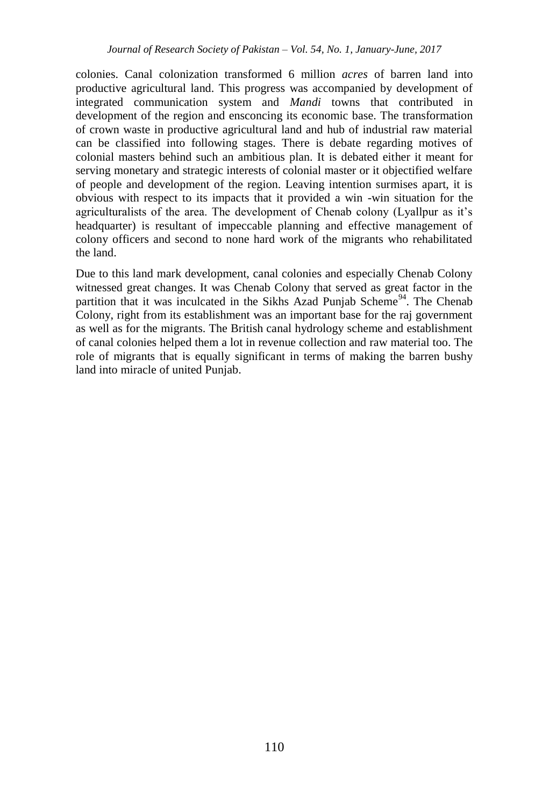colonies. Canal colonization transformed 6 million *acres* of barren land into productive agricultural land. This progress was accompanied by development of integrated communication system and *Mandi* towns that contributed in development of the region and ensconcing its economic base. The transformation of crown waste in productive agricultural land and hub of industrial raw material can be classified into following stages. There is debate regarding motives of colonial masters behind such an ambitious plan. It is debated either it meant for serving monetary and strategic interests of colonial master or it objectified welfare of people and development of the region. Leaving intention surmises apart, it is obvious with respect to its impacts that it provided a win -win situation for the agriculturalists of the area. The development of Chenab colony (Lyallpur as it"s headquarter) is resultant of impeccable planning and effective management of colony officers and second to none hard work of the migrants who rehabilitated the land.

Due to this land mark development, canal colonies and especially Chenab Colony witnessed great changes. It was Chenab Colony that served as great factor in the partition that it was inculcated in the Sikhs Azad Punjab Scheme<sup>94</sup>. The Chenab Colony, right from its establishment was an important base for the raj government as well as for the migrants. The British canal hydrology scheme and establishment of canal colonies helped them a lot in revenue collection and raw material too. The role of migrants that is equally significant in terms of making the barren bushy land into miracle of united Punjab.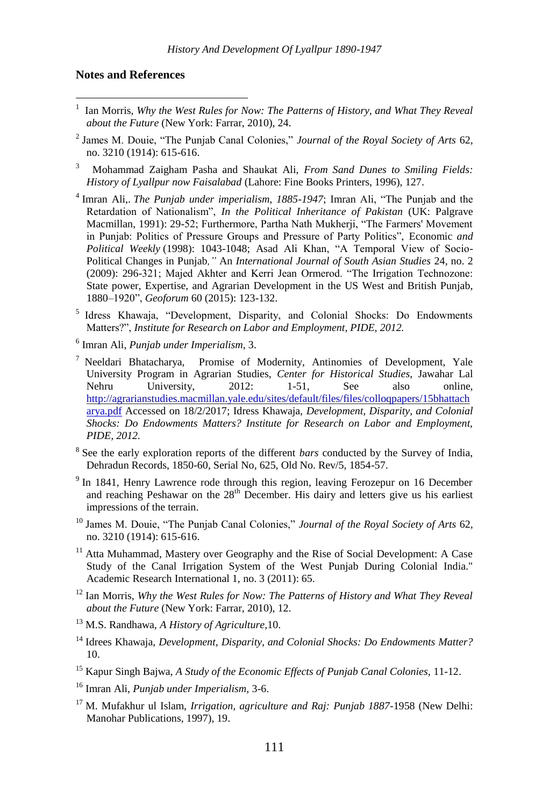#### **Notes and References**

- 1 Ian Morris, *Why the West Rules for Now: The Patterns of History, and What They Reveal about the Future* (New York: Farrar, 2010), 24.
- 2 James M. Douie, "The Punjab Canal Colonies," *Journal of the Royal Society of Arts* 62, no. 3210 (1914): 615-616.
- 3 Mohammad Zaigham Pasha and Shaukat Ali, *From Sand Dunes to Smiling Fields: History of Lyallpur now Faisalabad* (Lahore: Fine Books Printers, 1996), 127.
- 4 Imran Ali,. *The Punjab under imperialism, 1885-1947*; Imran Ali, "The Punjab and the Retardation of Nationalism", *In the Political Inheritance of Pakistan* (UK: Palgrave Macmillan, 1991): 29-52; Furthermore, Partha Nath Mukherji, "The Farmers' Movement in Punjab: Politics of Pressure Groups and Pressure of Party Politics", Economic *and Political Weekly* (1998): 1043-1048; Asad Ali Khan, "A Temporal View of Socio-Political Changes in Punjab*,"* An *International Journal of South Asian Studies* 24, no. 2 (2009): 296-321; Majed Akhter and Kerri Jean Ormerod. "The Irrigation Technozone: State power, Expertise, and Agrarian Development in the US West and British Punjab, 1880–1920", *Geoforum* 60 (2015): 123-132.
- 5 Idress Khawaja, "Development, Disparity, and Colonial Shocks: Do Endowments Matters?", *Institute for Research on Labor and Employment, PIDE, 2012.*
- 6 Imran Ali, *Punjab under Imperialism*, 3.
- <sup>7</sup> Neeldari Bhatacharya, Promise of Modernity, Antinomies of Development, Yale University Program in Agrarian Studies, *Center for Historical Studies*, Jawahar Lal Nehru University, 2012: 1-51, See also online, [http://agrarianstudies.macmillan.yale.edu/sites/default/files/files/colloqpapers/15bhattach](http://agrarianstudies.macmillan.yale.edu/sites/default/files/files/colloqpapers/15bhattacharya.pdf) [arya.pdf](http://agrarianstudies.macmillan.yale.edu/sites/default/files/files/colloqpapers/15bhattacharya.pdf) Accessed on 18/2/2017; Idress Khawaja, *Development, Disparity, and Colonial Shocks: Do Endowments Matters? Institute for Research on Labor and Employment, PIDE, 2012.*
- 8 See the early exploration reports of the different *bars* conducted by the Survey of India, Dehradun Records, 1850-60, Serial No, 625, Old No. Rev/5, 1854-57.
- <sup>9</sup> In 1841, Henry Lawrence rode through this region, leaving Ferozepur on 16 December and reaching Peshawar on the  $28<sup>th</sup>$  December. His dairy and letters give us his earliest impressions of the terrain.
- <sup>10</sup> James M. Douie, "The Punjab Canal Colonies," *Journal of the Royal Society of Arts* 62, no. 3210 (1914): 615-616.
- $11$  Atta Muhammad, Mastery over Geography and the Rise of Social Development: A Case Study of the Canal Irrigation System of the West Punjab During Colonial India." Academic Research International 1, no. 3 (2011): 65.
- <sup>12</sup> Ian Morris, *Why the West Rules for Now: The Patterns of History and What They Reveal about the Future* (New York: Farrar, 2010), 12.
- <sup>13</sup> M.S. Randhawa, *A History of Agriculture*,10.
- <sup>14</sup> Idrees Khawaja, *Development, Disparity, and Colonial Shocks: Do Endowments Matter?* 10.
- <sup>15</sup> Kapur Singh Bajwa, *A Study of the Economic Effects of Punjab Canal Colonies,* 11-12.
- <sup>16</sup> Imran Ali, *Punjab under Imperialism,* 3-6.
- <sup>17</sup> M. Mufakhur ul Islam, *Irrigation, agriculture and Raj: Punjab 1887-*1958 (New Delhi: Manohar Publications, 1997), 19.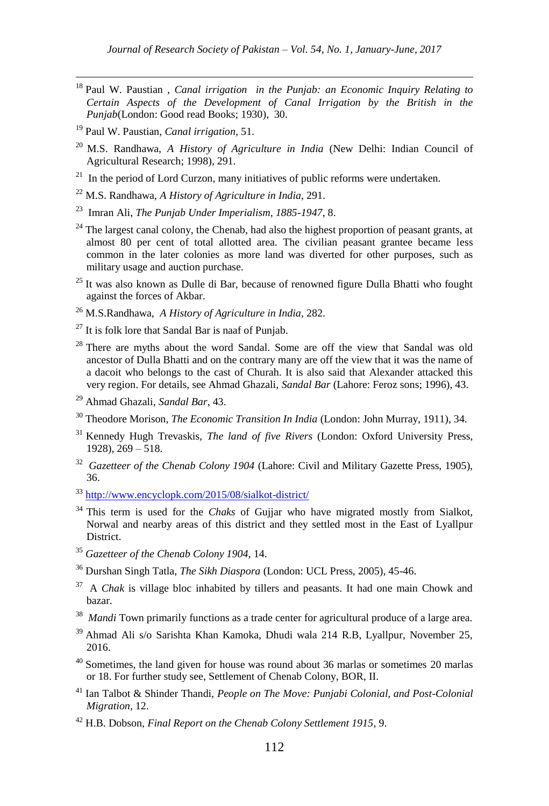- <sup>18</sup> Paul W. Paustian , *Canal irrigation in the Punjab: an Economic Inquiry Relating to Certain Aspects of the Development of Canal Irrigation by the British in the Punjab*(London: Good read Books; 1930), 30.
- <sup>19</sup> Paul W. Paustian, *Canal irrigation,* 51.

- <sup>20</sup> M.S. Randhawa, *A History of Agriculture in India* (New Delhi: Indian Council of Agricultural Research; 1998), 291.
- <sup>21</sup> In the period of Lord Curzon, many initiatives of public reforms were undertaken.
- <sup>22</sup> M.S. Randhawa, *A History of Agriculture in India*, 291.
- 23 Imran Ali, *The Punjab Under Imperialism, 1885-1947*, 8.
- $24$  The largest canal colony, the Chenab, had also the highest proportion of peasant grants, at almost 80 per cent of total allotted area. The civilian peasant grantee became less common in the later colonies as more land was diverted for other purposes, such as military usage and auction purchase.
- $25$  It was also known as Dulle di Bar, because of renowned figure Dulla Bhatti who fought against the forces of Akbar.
- <sup>26</sup> M.S.Randhawa, *A History of Agriculture in India*, 282.
- $27$  It is folk lore that Sandal Bar is naaf of Punjab.
- <sup>28</sup> There are myths about the word Sandal. Some are off the view that Sandal was old ancestor of Dulla Bhatti and on the contrary many are off the view that it was the name of a dacoit who belongs to the cast of Churah. It is also said that Alexander attacked this very region. For details, see Ahmad Ghazali, *Sandal Bar* (Lahore: Feroz sons; 1996), 43.
- <sup>29</sup> Ahmad Ghazali, *Sandal Bar*, 43.
- <sup>30</sup> Theodore Morison, *The Economic Transition In India* (London: John Murray, 1911), 34.
- <sup>31</sup> Kennedy Hugh Trevaskis, *The land of five Rivers* (London: Oxford University Press, 1928), 269 – 518.
- <sup>32</sup> Gazetteer of the Chenab Colony 1904 (Lahore: Civil and Military Gazette Press, 1905), 36.
- <sup>33</sup> <http://www.encyclopk.com/2015/08/sialkot-district/>
- <sup>34</sup> This term is used for the *Chaks* of Gujjar who have migrated mostly from Sialkot, Norwal and nearby areas of this district and they settled most in the East of Lyallpur District.
- <sup>35</sup> *Gazetteer of the Chenab Colony 1904,* 14.
- <sup>36</sup> Durshan Singh Tatla, *The Sikh Diaspora* (London: UCL Press, 2005), 45-46.
- <sup>37</sup> A *Chak* is village bloc inhabited by tillers and peasants. It had one main Chowk and bazar.
- <sup>38</sup> Mandi Town primarily functions as a trade center for agricultural produce of a large area.
- <sup>39</sup> Ahmad Ali s/o Sarishta Khan Kamoka, Dhudi wala 214 R.B, Lyallpur, November 25, 2016.
- <sup>40</sup> Sometimes, the land given for house was round about 36 marlas or sometimes 20 marlas or 18. For further study see, Settlement of Chenab Colony, BOR, II.
- <sup>41</sup> Ian Talbot & Shinder Thandi, *People on The Move: Punjabi Colonial, and Post-Colonial Migration*, 12.
- <sup>42</sup> H.B. Dobson, *Final Report on the Chenab Colony Settlement 1915*, 9.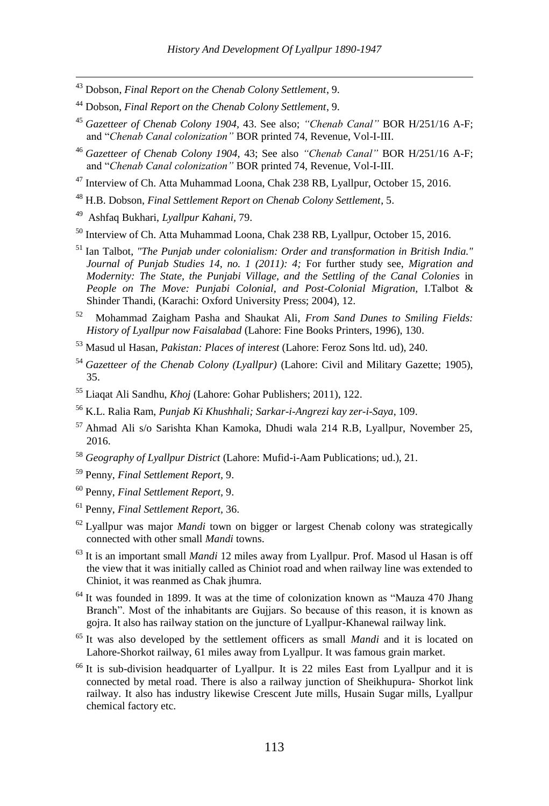- <sup>43</sup> Dobson, *Final Report on the Chenab Colony Settlement*, 9.
- <sup>44</sup> Dobson, *Final Report on the Chenab Colony Settlement*, 9.
- <sup>45</sup> *Gazetteer of Chenab Colony 1904,* 43. See also; *"Chenab Canal"* BOR H/251/16 A-F; and "*Chenab Canal colonization"* BOR printed 74, Revenue, Vol-I-III.
- <sup>46</sup> *Gazetteer of Chenab Colony 1904,* 43; See also *"Chenab Canal"* BOR H/251/16 A-F; and "*Chenab Canal colonization"* BOR printed 74, Revenue, Vol-I-III.
- <sup>47</sup> Interview of Ch. Atta Muhammad Loona, Chak 238 RB, Lyallpur, October 15, 2016.
- <sup>48</sup> H.B. Dobson, *Final Settlement Report on Chenab Colony Settlement*, 5.
- 49 Ashfaq Bukhari, *Lyallpur Kahani,* 79.

- <sup>50</sup> Interview of Ch. Atta Muhammad Loona, Chak 238 RB, Lyallpur, October 15, 2016.
- <sup>51</sup> Ian Talbot, *"The Punjab under colonialism: Order and transformation in British India." Journal of Punjab Studies 14, no. 1 (2011): 4;* For further study see, *Migration and Modernity: The State, the Punjabi Village, and the Settling of the Canal Colonies* in People on The Move: Punjabi Colonial, and Post-Colonial Migration, I.Talbot & Shinder Thandi, (Karachi: Oxford University Press; 2004), 12.
- 52 Mohammad Zaigham Pasha and Shaukat Ali, *From Sand Dunes to Smiling Fields: History of Lyallpur now Faisalabad* (Lahore: Fine Books Printers, 1996), 130.
- <sup>53</sup> Masud ul Hasan, *Pakistan: Places of interest* (Lahore: Feroz Sons ltd. ud), 240.
- <sup>54</sup> *Gazetteer of the Chenab Colony (Lyallpur)* (Lahore: Civil and Military Gazette; 1905), 35.
- <sup>55</sup> Liaqat Ali Sandhu, *Khoj* (Lahore: Gohar Publishers; 2011), 122.
- <sup>56</sup> K.L. Ralia Ram, *Punjab Ki Khushhali; Sarkar-i-Angrezi kay zer-i-Saya*, 109.
- <sup>57</sup> Ahmad Ali s/o Sarishta Khan Kamoka, Dhudi wala 214 R.B, Lyallpur, November 25, 2016.
- <sup>58</sup> *Geography of Lyallpur District* (Lahore: Mufid-i-Aam Publications; ud.), 21.
- <sup>59</sup> Penny, *Final Settlement Report,* 9.
- <sup>60</sup> Penny, *Final Settlement Report,* 9.
- <sup>61</sup> Penny, *Final Settlement Report,* 36.
- <sup>62</sup> Lyallpur was major *Mandi* town on bigger or largest Chenab colony was strategically connected with other small *Mandi* towns.
- <sup>63</sup> It is an important small *Mandi* 12 miles away from Lyallpur. Prof. Masod ul Hasan is off the view that it was initially called as Chiniot road and when railway line was extended to Chiniot, it was reanmed as Chak jhumra.
- $64$  It was founded in 1899. It was at the time of colonization known as "Mauza 470 Jhang" Branch". Most of the inhabitants are Gujjars. So because of this reason, it is known as gojra. It also has railway station on the juncture of Lyallpur-Khanewal railway link.
- <sup>65</sup> It was also developed by the settlement officers as small *Mandi* and it is located on Lahore-Shorkot railway, 61 miles away from Lyallpur. It was famous grain market.
- <sup>66</sup> It is sub-division headquarter of Lyallpur. It is 22 miles East from Lyallpur and it is connected by metal road. There is also a railway junction of Sheikhupura- Shorkot link railway. It also has industry likewise Crescent Jute mills, Husain Sugar mills, Lyallpur chemical factory etc.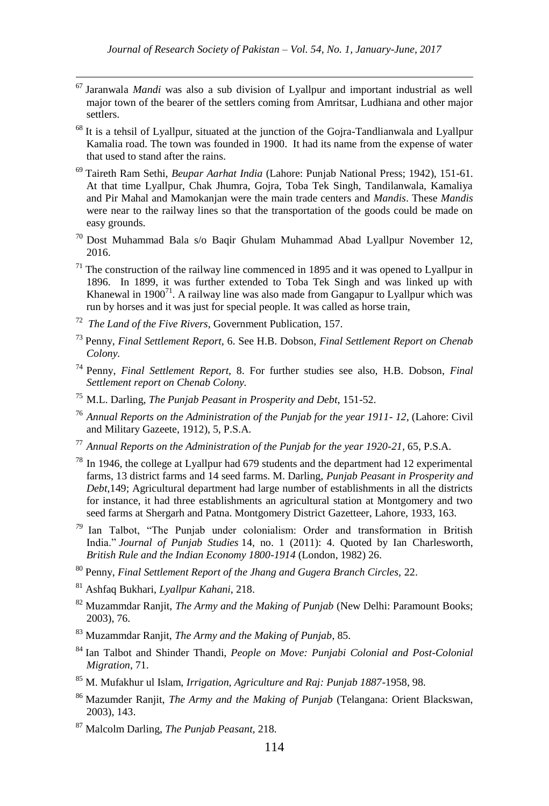- <sup>67</sup> Jaranwala *Mandi* was also a sub division of Lyallpur and important industrial as well major town of the bearer of the settlers coming from Amritsar, Ludhiana and other major settlers.
- <sup>68</sup> It is a tehsil of Lyallpur, situated at the junction of the Gojra-Tandlianwala and Lyallpur Kamalia road. The town was founded in 1900. It had its name from the expense of water that used to stand after the rains.
- <sup>69</sup> Taireth Ram Sethi, *Beupar Aarhat India* (Lahore: Punjab National Press; 1942), 151-61. At that time Lyallpur, Chak Jhumra, Gojra, Toba Tek Singh, Tandilanwala, Kamaliya and Pir Mahal and Mamokanjan were the main trade centers and *Mandis*. These *Mandis* were near to the railway lines so that the transportation of the goods could be made on easy grounds.
- <sup>70</sup> Dost Muhammad Bala s/o Baqir Ghulam Muhammad Abad Lyallpur November 12, 2016.
- $71$  The construction of the railway line commenced in 1895 and it was opened to Lyallpur in 1896. In 1899, it was further extended to Toba Tek Singh and was linked up with Khanewal in 1900 $^{71}$ . A railway line was also made from Gangapur to Lyallpur which was run by horses and it was just for special people. It was called as horse train,
- 72 *The Land of the Five Rivers*, Government Publication, 157.

- <sup>73</sup> Penny, *Final Settlement Report,* 6. See H.B. Dobson, *Final Settlement Report on Chenab Colony.*
- <sup>74</sup> Penny, *Final Settlement Report,* 8. For further studies see also, H.B. Dobson, *Final Settlement report on Chenab Colony.*
- <sup>75</sup> M.L. Darling, *The Punjab Peasant in Prosperity and Debt,* 151-52.
- <sup>76</sup> *Annual Reports on the Administration of the Punjab for the year 1911- 12,* (Lahore: Civil and Military Gazeete, 1912), 5, P.S.A.
- <sup>77</sup> *Annual Reports on the Administration of the Punjab for the year 1920-21,* 65, P.S.A.
- $78$  In 1946, the college at Lyallpur had 679 students and the department had 12 experimental farms, 13 district farms and 14 seed farms. M. Darling, *Punjab Peasant in Prosperity and Debt*,149; Agricultural department had large number of establishments in all the districts for instance, it had three establishments an agricultural station at Montgomery and two seed farms at Shergarh and Patna. Montgomery District Gazetteer, Lahore, 1933, 163.
- *<sup>79</sup>* Ian Talbot, "The Punjab under colonialism: Order and transformation in British India." *Journal of Punjab Studies* 14, no. 1 (2011): 4. Quoted by Ian Charlesworth, *British Rule and the Indian Economy 1800-1914* (London, 1982) 26.
- <sup>80</sup> Penny, *Final Settlement Report of the Jhang and Gugera Branch Circles,* 22.
- <sup>81</sup> Ashfaq Bukhari, *Lyallpur Kahani*, 218.
- <sup>82</sup> Muzammdar Ranjit, *The Army and the Making of Punjab* (New Delhi: Paramount Books; 2003), 76.
- <sup>83</sup> Muzammdar Ranjit, *The Army and the Making of Punjab*, 85.
- <sup>84</sup> Ian Talbot and Shinder Thandi, *People on Move: Punjabi Colonial and Post-Colonial Migration*, 71.
- <sup>85</sup> M. Mufakhur ul Islam, *Irrigation, Agriculture and Raj: Punjab 1887-*1958, 98.
- <sup>86</sup> Mazumder Ranjit, *The Army and the Making of Punjab* (Telangana: Orient Blackswan, 2003), 143.
- <sup>87</sup> Malcolm Darling, *The Punjab Peasant*, 218.